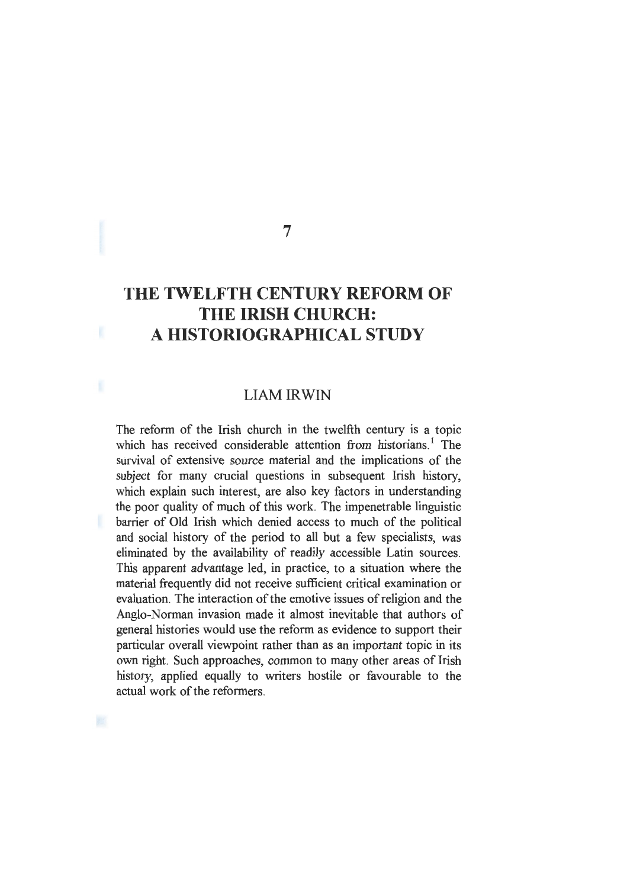# **THE TWELFTH CENTURY REFORM OF THE IRISH CHURCH: A HISTORIOGRAPHICAL STUDY**

7

# LIAMIRWIN

The reform of the Irish church in the twelfth century is a topic which has received considerable attention from historians.<sup>1</sup> The survival of extensive source material and the implications of the subject for many crucial questions in subsequent Irish history, which explain such interest, are also key factors in understanding the poor quality of much of this work. The impenetrable linguistic barrier of Old Irish which denied access to much of the political and social history of the period to all but a few specialists, was eliminated by the availability of readily accessible Latin sources. This apparent advantage led, in practice, to a situation where the material frequently did not receive sufficient critical examination or evaluation. The interaction of the emotive issues of religion and the Anglo-Norman invasion made it almost inevitable that authors of general histories would use the reform as evidence to support their particular overall viewpoint rather than as an important topic in its own right. Such approaches, common to many other areas of Irish history, applied equally to writers hostile or favourable to the actual work of the reformers.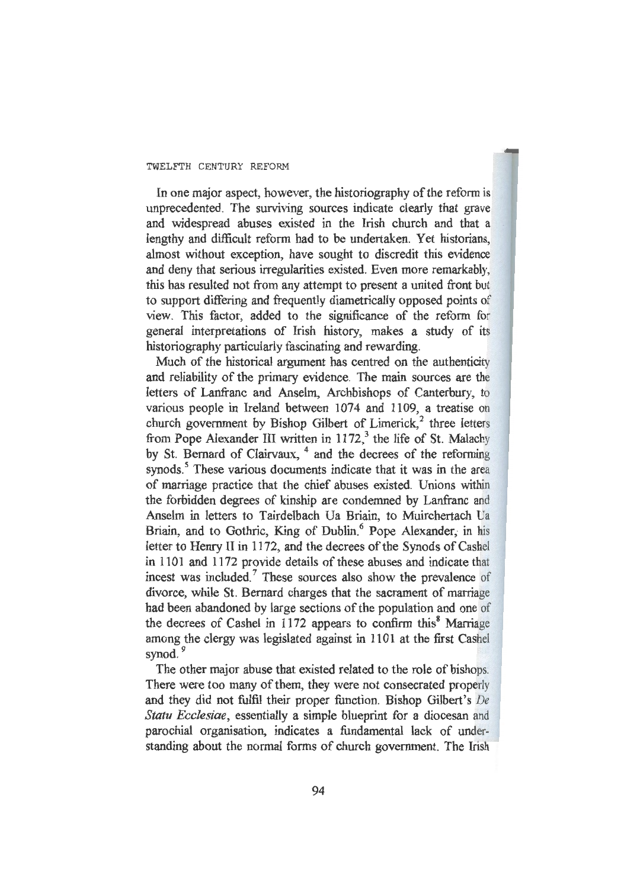In one major aspect, however, the historiography of the reform is unprecedented. The surviving sources indicate clearly that grave and widespread abuses existed in the Irish church and that a lengthy and difficult reform had to be undertaken. Yet historians, almost without exception, have sought to discredit this evidence and deny that serious irregularities existed. Even more remarkably, this has resulted not from any attempt to present a united front but to support differing and frequently diametrically opposed points of view. This factor, added to the significance of the reform for general interpretations of Irish history, makes a study of its historiography particularly fascinating and rewarding.

Much of the historical argument has centred on the authenticity and reliability of the primary evidence. The main sources are the letters of Lanfranc and Anselm, Archbishops of Canterbury, to various people in Ireland between 1074 and 1109, a treatise on church government by Bishop Gilbert of Limerick, $2$  three letters from Pope Alexander III written in  $1172$ ,<sup>3</sup> the life of St. Malachy by St. Bernard of Clairvaux, <sup>4</sup> and the decrees of the reforming synods.<sup>5</sup> These various documents indicate that it was in the area of marriage practice that the chief abuses existed. Unions within the forbidden degrees of kinship are condemned by Lanfranc and Anselm in letters to Tairdelbach Ua Briain, to Muirchertach Ua Briain, and to Gothric, King of Dublin.<sup>6</sup> Pope Alexander, in lis letter to Henry II in 1172, and the decrees of the Synods of Cashel in 1101 and 1172 provide details of these abuses and indicate that incest was included.<sup>7</sup> These sources also show the prevalence of divorce, while St. Bernard charges that the sacrament of marriage had been abandoned by large sections of the population and one of the decrees of Cashel in  $1172$  appears to confirm this<sup>8</sup> Marriage among the clergy was legislated against in 1101 at the first Cashel synod.<sup>9</sup>

The other major abuse that existed related to the role of bishops. There were too many of them, they were not consecrated properly and they did not fulfil their proper function. Bishop Gilbert's *De Statu Ecclesiae*, essentially a simple blueprint for a diocesan and parochial organisation, indicates a fundamental lack of understanding about the normal forms of church government. The Irish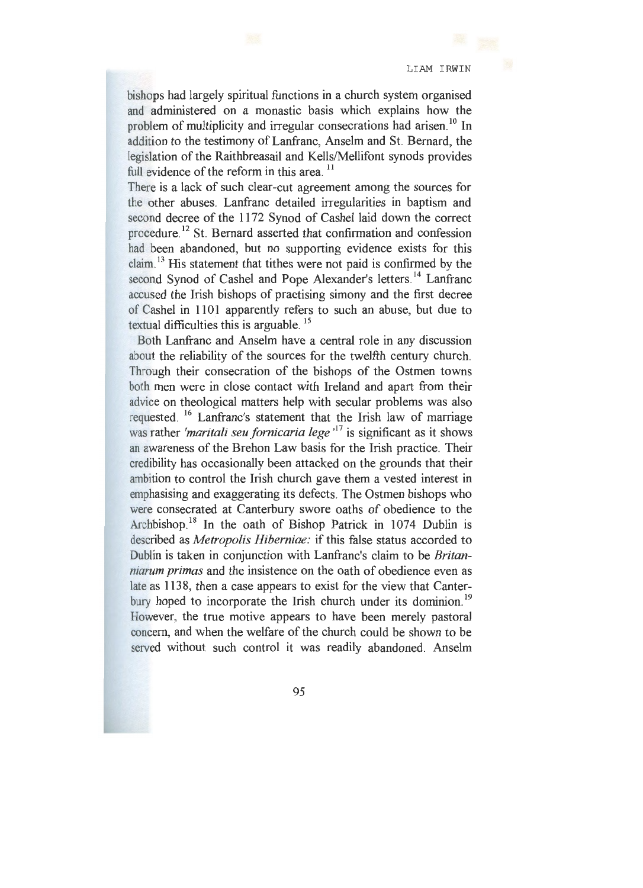bishops had largely spiritual functions in a church system organised and administered on a monastic basis which explains how the problem of multiplicity and irregular consecrations had arisen.<sup>10</sup> In addition to the testimony of Lanfranc, Anselm and St. Bernard, the legislation of the Raithbreasail and Kells/Mellifont synods provides full evidence of the reform in this area.<sup>11</sup>

There is a lack of such clear-cut agreement among the sources for the other abuses. Lanfranc detailed irregularities in baptism and second decree of the 1172 Synod of Cashel laid down the correct procedure.<sup>12</sup> St. Bernard asserted that confirmation and confession had been abandoned, but no supporting evidence exists for this claim.<sup>13</sup> His statement that tithes were not paid is confirmed by the second Synod of Cashel and Pope Alexander's letters.<sup>14</sup> Lanfranc accused the Irish bishops of practising simony and the first decree of Cashel in 1101 apparently refers to such an abuse, but due to textual difficulties this is arguable. 15

Both Lanfranc and Anselm have a central role in any discussion about the reliability of the sources for the twelfth century church. Through their consecration of the bishops of the Ostmen towns both men were in close contact with Ireland and apart from their advice on theological matters help with secular problems was also requested. 16 Lanfranc's statement that the Irish law of marriage was rather *'maritali seu fornicaria lege* ' 17 is significant as it shows an awareness of the Brehon Law basis for the Irish practice. Their credibility has occasionally been attacked on the grounds that their ambition to control the Irish church gave them a vested interest in emphasising and exaggerating its defects. The Ostmen bishops who were consecrated at Canterbury swore oaths of obedience to the Archbishop.<sup>18</sup> In the oath of Bishop Patrick in  $1074$  Dublin is described as *Metropolis Hiberniae*: if this false status accorded to Dublin is taken in conjunction with Lanfranc's claim to be *Britanniarum primas* and the insistence on the oath of obedience even as late as 1138, then a case appears to exist for the view that Canterbury hoped to incorporate the Irish church under its dominion.<sup>19</sup> However, the true motive appears to have been merely pastoral concern, and when the welfare of the church could be shown to be served without such control it was readily abandoned. Anselm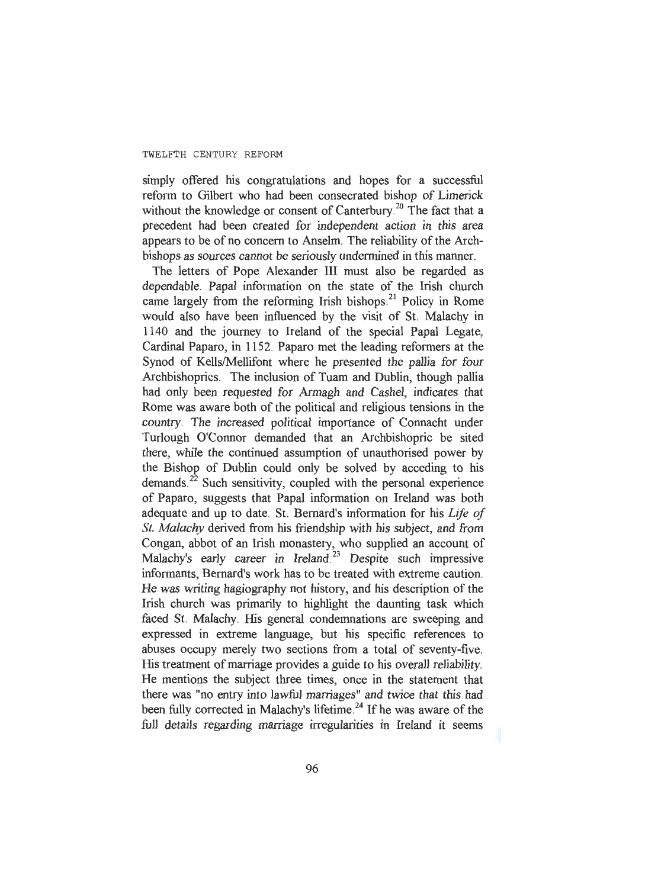simply offered his congratulations and hopes for a successful reform to Gilbert who had been consecrated bishop of Limerick without the knowledge or consent of Canterbury.<sup>20</sup> The fact that a precedent had been created for independent action in this area appears to be of no concern to Anselm. The reliability of the Archbishops as sources cannot be seriously undermined in this manner.

The letters of Pope Alexander III must also be regarded as dependable. Papal information on the state of the Irish church came largely from the reforming Irish bishops.<sup>21</sup> Policy in Rome would also have been influenced by the visit of St. Malachy in 1140 and the journey to Ireland of the special Papal Legate, Cardinal Paparo, in 1152. Paparo met the leading reformers at the Synod of Kells/Mellifont where he presented the pallia for four Archbishoprics. The inclusion of Tuam and Dublin, though pallia had only been requested for Armagh and Cashel, indicates that Rome was aware both of the political and religious tensions in the country. The increased political importance of Connacht under Turlough O'Connor demanded that an Archbishopric be sited there, while the continued assumption of unauthorised power by the Bishop of Dublin could only be solved by acceding to his demands.<sup>22</sup> Such sensitivity, coupled with the personal experience of Paparo, suggests that Papal information on Ireland was both adequate and up to date. St. Bernard's information for his *Life of St. Malachy* derived from his friendship with his subject, and from Congan, abbot of an Irish monastery, who supplied an account of Malachy's early career in Ireland.<sup>23</sup> Despite such impressive informants, Bernard's work has to be treated with extreme caution. He was writing hagiography not history, and his description of the Irish church was primarily to highlight the daunting task which faced St. Malachy. His general condemnations are sweeping and expressed in extreme language, but his specific references to abuses occupy merely two sections from a total of seventy-five. His treatment of marriage provides a guide to his overall reliability. He mentions the subject three times, once in the statement that there was "no entry into lawful marriages" and twice that this had been fully corrected in Malachy's lifetime. 24 If he was aware of the full details regarding marriage irregularities in Ireland it seems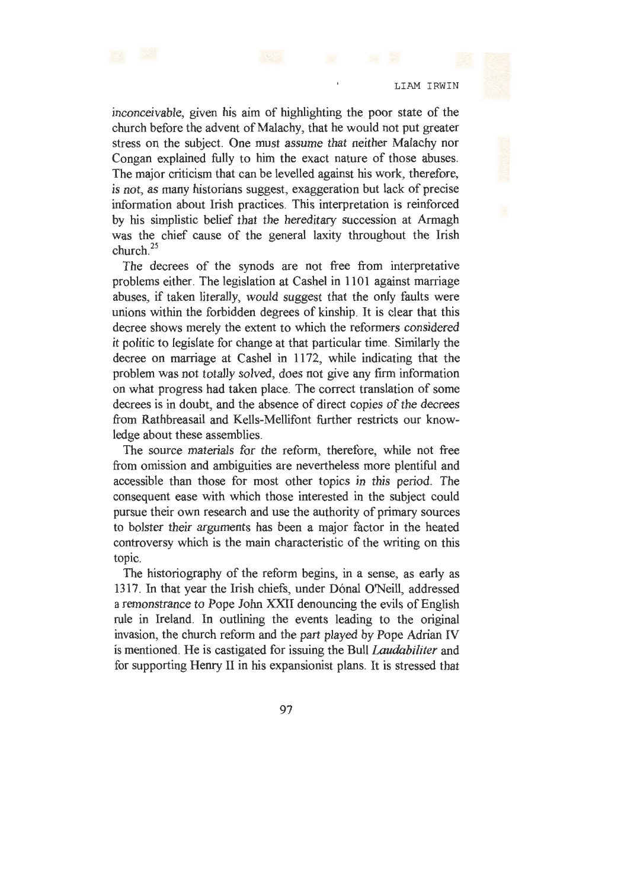inconceivable, given his aim of highlighting the poor state of the church before the advent of Malachy, that he would not put greater stress on the subject. One must assume that neither Malachy nor Congan explained fully to him the exact nature of those abuses. The major criticism that can be levelled against his work, therefore, is not, as many historians suggest, exaggeration but lack of precise information about Irish practices. This interpretation is reinforced by his simplistic belief that the hereditary succession at Armagh was the chief cause of the general laxity throughout the Irish church. <sup>25</sup>

The decrees of the synods are not free from interpretative problems either. The legislation at Cashel in 1101 against marriage abuses, if taken literally, would suggest that the only faults were unions within the forbidden degrees of kinship. It is clear that this decree shows merely the extent to which the reformers considered it politic to legislate for change at that particular time. Similarly the decree on marriage at Cashel in 1172, while indicating that the problem was not totally solved, does not give any firm information on what progress had taken place. The correct translation of some decrees is in doubt, and the absence of direct copies of the decrees from Rathbreasail and Kells-Mellifont further restricts our knowledge about these assemblies.

The source materials for the reform, therefore, while not free from omission and ambiguities are nevertheless more plentiful and accessible than those for most other topics in this period. The consequent ease with which those interested in the subject could pursue their own research and use the authority of primary sources to bolster their arguments has been a major factor in the heated controversy which is the main characteristic of the writing on this topic.

The historiography of the reform begins, in a sense, as early as 1317. In that year the Irish chiefs, under Dónal O'Neill, addressed a remonstrance to Pope John XXII denouncing the evils of English rule in Ireland. In outlining the events leading to the original invasion, the church reform and the part played by Pope Adrian IV is mentioned. He is castigated for issuing the Bull *Laudabiliter* and for supporting Henry II in his expansionist plans. It is stressed that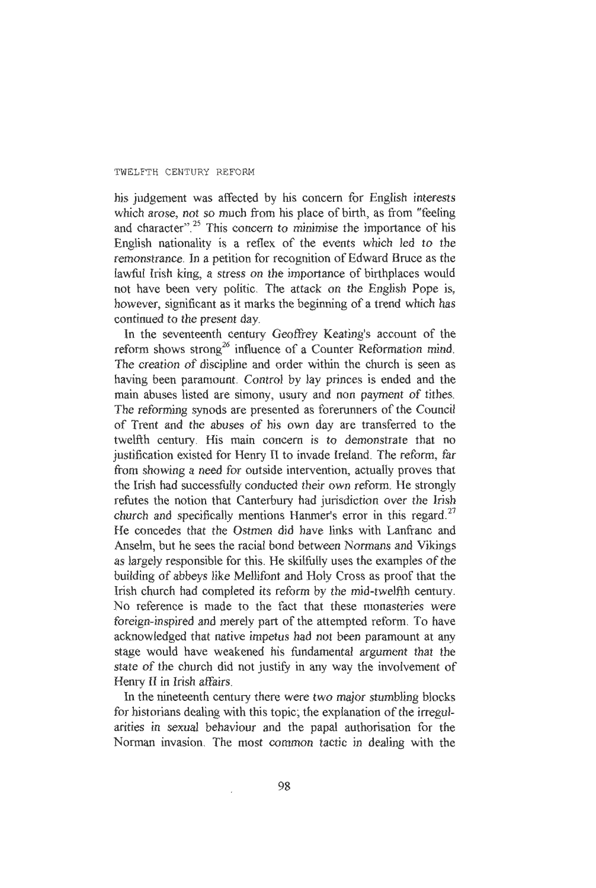his judgement was affected by his concern for English interests which arose, not so much from his place of birth, as from "feeling and character".<sup>25</sup> This concern to minimise the importance of his English nationality is a reflex of the events which led to the remonstrance. In a petition for recognition of Edward Bruce as the lawful Irish king, a stress on the importance of birthplaces would not have been very politic. The attack on the English Pope is, however, significant as it marks the beginning of a trend which has continued to the present day.

In the seventeenth century Geoffrey Keating's account of the reform shows strong<sup>26</sup> influence of a Counter Reformation mind. The creation of discipline and order within the church is seen as having been paramount. Control by lay princes is ended and the main abuses listed are simony, usury and non payment of tithes. The reforming synods are presented as forerunners of the Council of Trent and the abuses of his own day are transferred to the twelfth century. His main concern is to demonstrate that no justification existed for Henry II to invade Ireland. The reform, far from showing a need for outside intervention, actually proves that the Irish had successfully conducted their own reform. He strongly refutes the notion that Canterbury had jurisdiction over the Irish church and specifically mentions Hanmer's error in this regard.<sup>27</sup> He concedes that the Ostmen did have links with Lanfranc and Anselm, but he sees the racial bond between Normans and Vikings as largely responsible for this. He skilfully uses the examples of the building of abbeys like Mellifont and Holy Cross as proof that the Irish church had completed its reform by the mid-twelfth century. No reference is made to the fact that these monasteries were foreign-inspired and merely part of the attempted reform. To have acknowledged that native impetus had not been paramount at any stage would have weakened his fundamental argument that the state of the church did not justify in any way the involvement of Henry II in Irish affairs.

In the nineteenth century there were two major stumbling blocks for historians dealing with this topic; the explanation of the irregularities in sexual behaviour and the papal authorisation for the Norman invasion. The most common tactic in dealing with the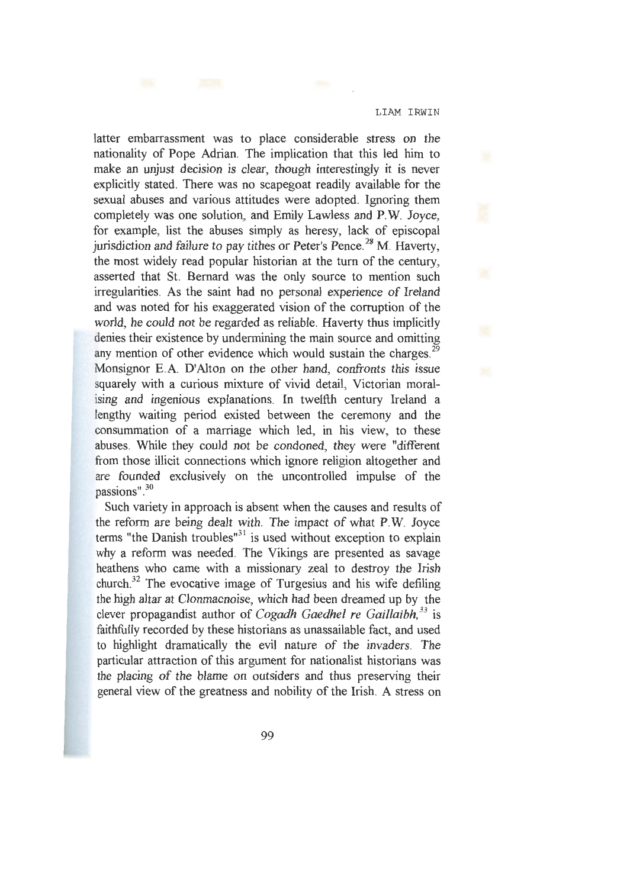latter embarrassment was to place considerable stress on the nationality of Pope Adrian. The implication that this led him to make an unjust decision is clear, though interestingly it is never explicitly stated. There was no scapegoat readily available for the sexual abuses and various attitudes were adopted. Ignoring them completely was one solution, and Emily Lawless and P.W. Joyce, for example, list the abuses simply as heresy, lack of episcopal jurisdiction and failure to pay tithes or Peter's Pence.<sup>28</sup> M. Haverty, the most widely read popular historian at the tum of the century, asserted that St. Bernard was the only source to mention such irregularities. As the saint had no personal experience of Ireland and was noted for his exaggerated vision of the corruption of the world, he could not be regarded as reliable. Haverty thus implicitly denies their existence by undermining the main source and omitting any mention of other evidence which would sustain the charges.<sup>29</sup> Monsignor E.A. D'Alton on the other hand, confronts this issue squarely with a curious mixture of vivid detail, Victorian moralising and ingenious explanations. In twelfth century Ireland a lengthy waiting period existed between the ceremony and the consummation of a marriage which led, in his view, to these abuses. While they could not be condoned, they were "different from those illicit connections which ignore religion altogether and are founded exclusively on the uncontrolled impulse of the passions".<sup>30</sup>

Such variety in approach is absent when the causes and results of the reform are being dealt with. The impact of what P.W. Joyce terms "the Danish troubles" $31$  is used without exception to explain why a reform was needed. The Vikings are presented as savage heathens who came with a missionary zeal to destroy the Irish church.<sup>32</sup> The evocative image of Turgesius and his wife defiling the high altar at Clonmacnoise, which had been dreamed up by the clever propagandist author of *Cogadh Gaedhel re Gaillaibh, 33* is faithfully recorded by these historians as unassailable fact, and used to highlight dramatically the evil nature of the invaders. The particular attraction of this argument for nationalist historians was the placing of the blame on outsiders and thus preserving their general view of the greatness and nobility of the Irish. A stress on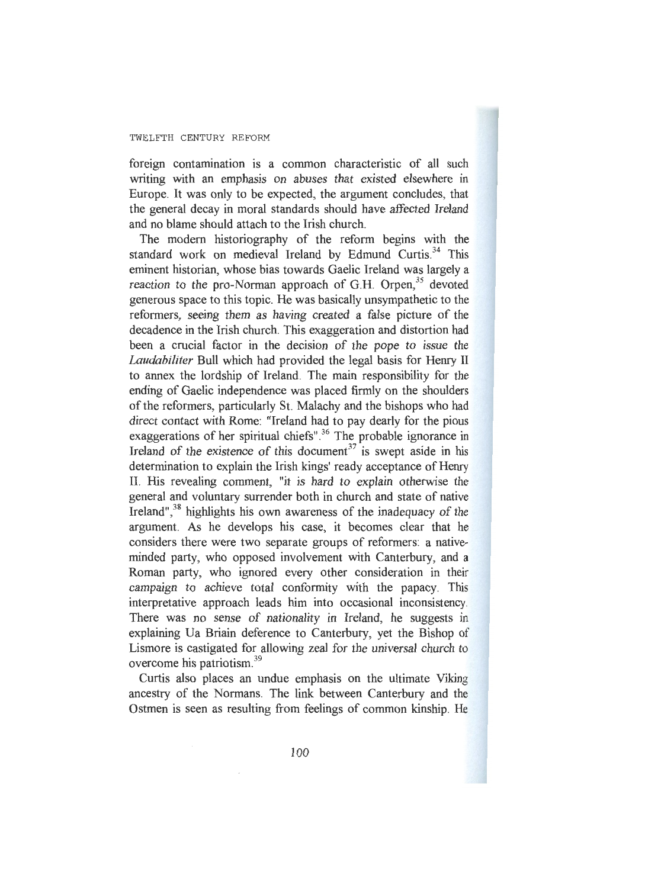foreign contamination is a common characteristic of all such writing with an emphasis on abuses that existed elsewhere in Europe. It was only to be expected, the argument concludes, that the general decay in moral standards should have affected Ireland and no blame should attach to the Irish church.

The modem historiography of the reform begins with the standard work on medieval Ireland by Edmund Curtis.<sup>34</sup> This eminent historian, whose bias towards Gaelic Ireland was largely a reaction to the pro-Norman approach of G.H. Orpen,<sup>35</sup> devoted generous space to this topic. He was basically unsympathetic to the reformers, seeing them as having created a false picture of the decadence in the Irish church. This exaggeration and distortion had been a crucial factor in the decision of the pope to issue the *Laudabiliter* Bull which had provided the legal basis for Henry II to annex the lordship of Ireland. The main responsibility for the ending of Gaelic independence was placed firmly on the shoulders of the reformers, particularly St. Malachy and the bishops who had direct contact with Rome: "Ireland had to pay dearly for the pious exaggerations of her spiritual chiefs".<sup>36</sup> The probable ignorance in Ireland of the existence of this document<sup>37</sup> is swept aside in his determination to explain the Irish kings' ready acceptance of Henry II. His revealing comment, "it is hard to explain otherwise the general and voluntary surrender both in church and state of native Ireland",<sup>38</sup> highlights his own awareness of the inadequacy of the argument. As he develops his case, it becomes clear that he considers there were two separate groups of reformers: a nativeminded party, who opposed involvement with Canterbury, and  $\iota$ Roman party, who ignored every other consideration in their campaign to achieve total conformity with the papacy. This interpretative approach leads him into occasional inconsistency. There was no sense of nationality in Ireland, he suggests in explaining Ua Briain deference to Canterbury, yet the Bishop of Lismore is castigated for allowing zeal for the universal church to overcome his patriotism. 39

Curtis also places an undue emphasis on the ultimate Viking ancestry of the Normans. The link between Canterbury and the Ostmen is seen as resulting from feelings of common kinship. He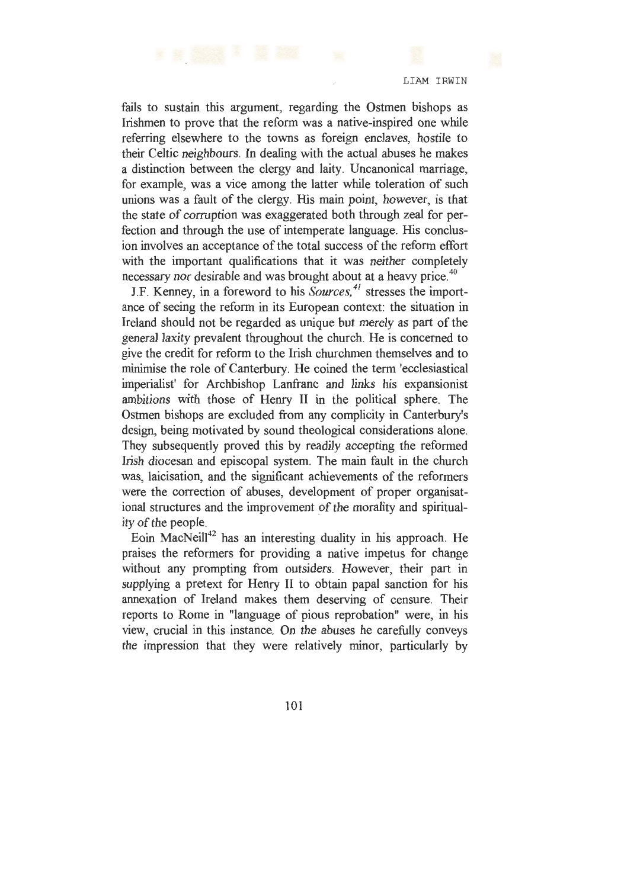fails to sustain this argument, regarding the Ostmen bishops as Irishmen to prove that the reform was a native-inspired one while referring elsewhere to the towns as foreign enclaves, hostile to their Celtic neighbours. In dealing with the actual abuses he makes a distinction between the clergy and laity. Uncanonical marriage, for example, was a vice among the latter while toleration of such unions was a fault of the clergy. His main point, however, is that the state of corruption was exaggerated both through zeal for perfection and through the use of intemperate language. His conclusion involves an acceptance of the total success of the reform effort with the important qualifications that it was neither completely necessary nor desirable and was brought about at a heavy price.<sup>40</sup>

J.F. Kenney, in a foreword to his *Sources, 41* stresses the importance of seeing the reform in its European context: the situation in Ireland should not be regarded as unique but merely as part of the general laxity prevalent throughout the church. He is concerned to give the credit for reform to the Irish churchmen themselves and to minimise the role of Canterbury. He coined the term 'ecclesiastical imperialist' for Archbishop Lanfranc and links his expansionist ambitions with those of Henry II in the political sphere. The Ostmen bishops are excluded from any complicity in Canterbury's design, being motivated by sound theological considerations alone. They subsequently proved this by readily accepting the reformed Irish diocesan and episcopal system. The main fault in the church was, laicisation, and the significant achievements of the reformers were the correction of abuses, development of proper organisational structures and the improvement of the morality and spirituality of the people.

Eoin MacNeill<sup>42</sup> has an interesting duality in his approach. He praises the reformers for providing a native impetus for change without any prompting from outsiders. However, their part in supplying a pretext for Henry II to obtain papal sanction for his annexation of Ireland makes them deserving of censure. Their reports to Rome in "language of pious reprobation" were, in his view, crucial in this instance. On the abuses he carefully conveys the impression that they were relatively minor, particularly by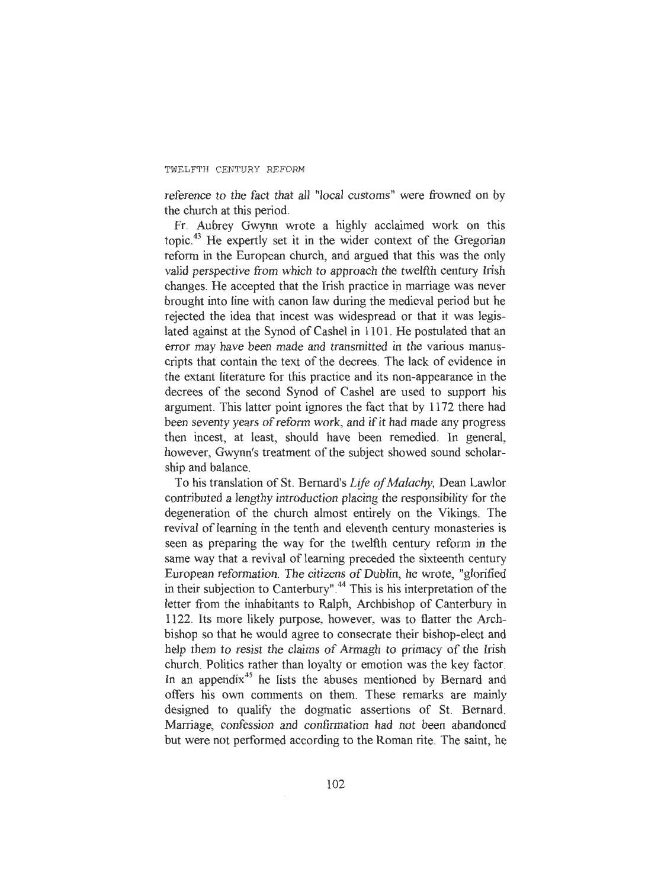reference to the fact that all "local customs" were frowned on by the church at this period.

Fr. Aubrey Gwynn wrote a highly acclaimed work on this topic. 43 He expertly set it in the wider context of the Gregorian reform in the European church, and argued that this was the only valid perspective from which to approach the twelfth century Irish changes. He accepted that the Irish practice in marriage was never brought into line with canon law during the medieval period but he rejected the idea that incest was widespread or that it was legislated against at the Synod of Cashel in 1101 . He postulated that an error may have been made and transmitted in the various manuscripts that contain the text of the decrees. The lack of evidence in the extant literature for this practice and its non-appearance in the decrees of the second Synod of Cashel are used to support his argument. This latter point ignores the fact that by 1172 there had been seventy years of reform work, and if it had made any progress then incest, at least, should have been remedied. In general, however, Gwynn's treatment of the subject showed sound scholarship and balance.

To his translation of St. Bernard's *Life of Malachy,* Dean Lawlor contributed a lengthy introduction placing the responsibility for the degeneration of the church almost entirely on the Vikings. The revival of learning in the tenth and eleventh century monasteries is seen as preparing the way for the twelfth century reform in the same way that a revival of learning preceded the sixteenth century European reformation. The citizens of Dublin, he wrote, "glorified in their subjection to Canterbury".<sup>44</sup> This is his interpretation of the letter from the inhabitants to Ralph, Archbishop of Canterbury in 1122. Its more likely purpose, however, was to flatter the Archbishop so that he would agree to consecrate their bishop-elect and help them to resist the claims of Armagh to primacy of the Irish church. Politics rather than loyalty or emotion was the key factor. In an appendix<sup>45</sup> he lists the abuses mentioned by Bernard and offers his own comments on them. These remarks are mainly designed to qualify the dogmatic assertions of St. Bernard. Marriage, confession and confirmation had not been abandoned but were not performed according to the Roman rite. The saint, he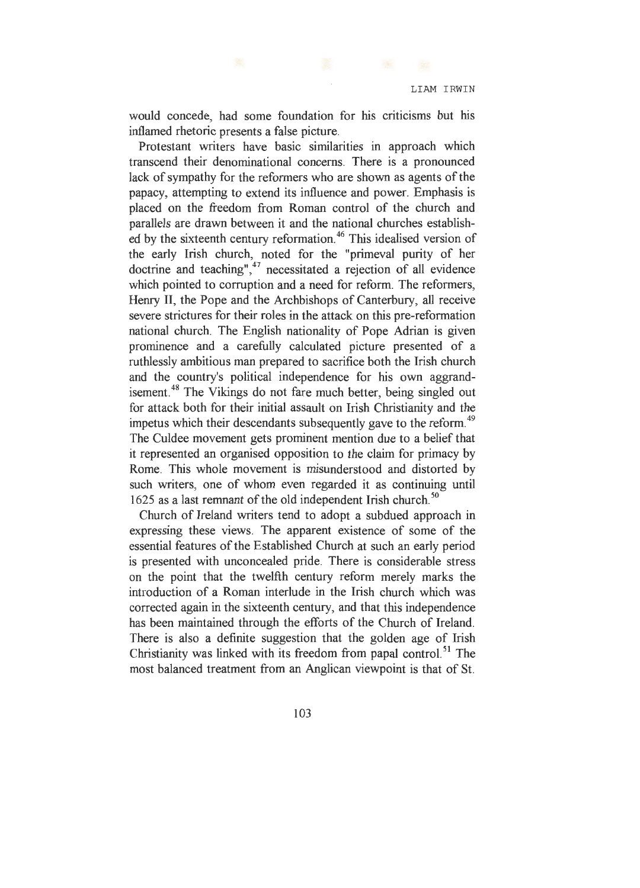would concede, had some foundation for his criticisms but his inflamed rhetoric presents a false picture.

Protestant writers have basic similarities in approach which transcend their denominational concerns. There is a pronounced lack of sympathy for the reformers who are shown as agents of the papacy, attempting to extend its influence and power. Emphasis is placed on the freedom from Roman control of the church and parallels are drawn between it and the national churches established by the sixteenth century reformation.<sup>46</sup> This idealised version of the early Irish church, noted for the "primeval purity of her doctrine and teaching", $47$  necessitated a rejection of all evidence which pointed to corruption and a need for reform. The reformers, Henry II, the Pope and the Archbishops of Canterbury, all receive severe strictures for their roles in the attack on this pre-reformation national church. The English nationality of Pope Adrian is given prominence and a carefully calculated picture presented of a ruthlessly ambitious man prepared to sacrifice both the Irish church and the country's political independence for his own aggrandisement.<sup>48</sup> The Vikings do not fare much better, being singled out for attack both for their initial assault on Irish Christianity and the impetus which their descendants subsequently gave to the reform.<sup>49</sup> The Culdee movement gets prominent mention due to a belief that it represented an organised opposition to the claim for primacy by Rome. This whole movement is misunderstood and distorted by such writers, one of whom even regarded it as continuing until 1625 as a last remnant of the old independent Irish church. *50* 

Church of Ireland writers tend to adopt a subdued approach in expressing these views. The apparent existence of some of the essential features of the Established Church at such an early period is presented with unconcealed pride. There is considerable stress on the point that the twelfth century reform merely marks the introduction of a Roman interlude in the Irish church which was corrected again in the sixteenth century, and that this independence has been maintained through the efforts of the Church of Ireland. There is also a definite suggestion that the golden age of Irish Christianity was linked with its freedom from papal control.<sup>51</sup> The most balanced treatment from an Anglican viewpoint is that of St.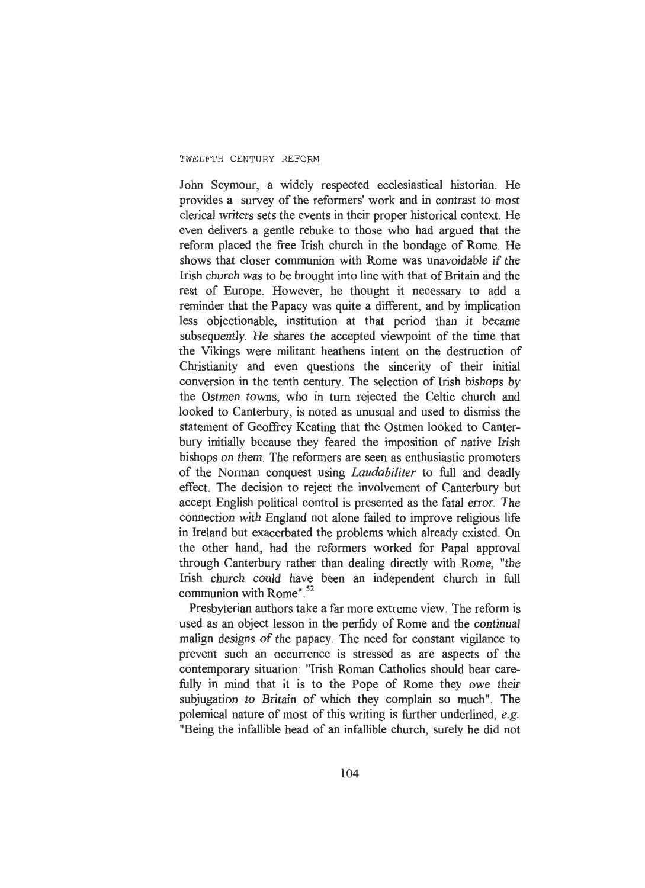John Seymour, a widely respected ecclesiastical historian. He provides a survey of the reformers' work and in contrast to most clerical writers sets the events in their proper historical context. He even delivers a gentle rebuke to those who had argued that the reform placed the free Irish church in the bondage of Rome. He shows that closer communion with Rome was unavoidable if the Irish church was to be brought into line with that of Britain and the rest of Europe. However, he thought it necessary to add a reminder that the Papacy was quite a different, and by implication less objectionable, institution at that period than it became subsequently. He shares the accepted viewpoint of the time that the Vikings were militant heathens intent on the destruction of Christianity and even questions the sincerity of their initial conversion in the tenth century. The selection of Irish bishops by the Ostmen towns, who in tum rejected the Celtic church and looked to Canterbury, is noted as unusual and used to dismiss the statement of Geoffrey Keating that the Ostmen looked to Canterbury initially because they feared the imposition of native Irish bishops on them. The reformers are seen as enthusiastic promoters of the Norman conquest using *Laudabiliter* to full and deadly effect. The decision to reject the involvement of Canterbury but accept English political control is presented as the fatal error. The connection with England not alone failed to improve religious life in Ireland but exacerbated the problems which already existed. On the other hand, had the reformers worked for Papal approval through Canterbury rather than dealing directly with Rome, "the Irish church could have been an independent church in full communion with Rome".<sup>52</sup>

Presbyterian authors take a far more extreme view. The reform is used as an object lesson in the perfidy of Rome and the continual malign designs of the papacy. The need for constant vigilance to prevent such an occurrence is stressed as are aspects of the contemporary situation: "Irish Roman Catholics should bear carefully in mind that it is to the Pope of Rome they owe their subjugation to Britain of which they complain so much". The polemical nature of most of this writing is further underlined, *e.g.*  "Being the infallible head of an infallible church, surely he did not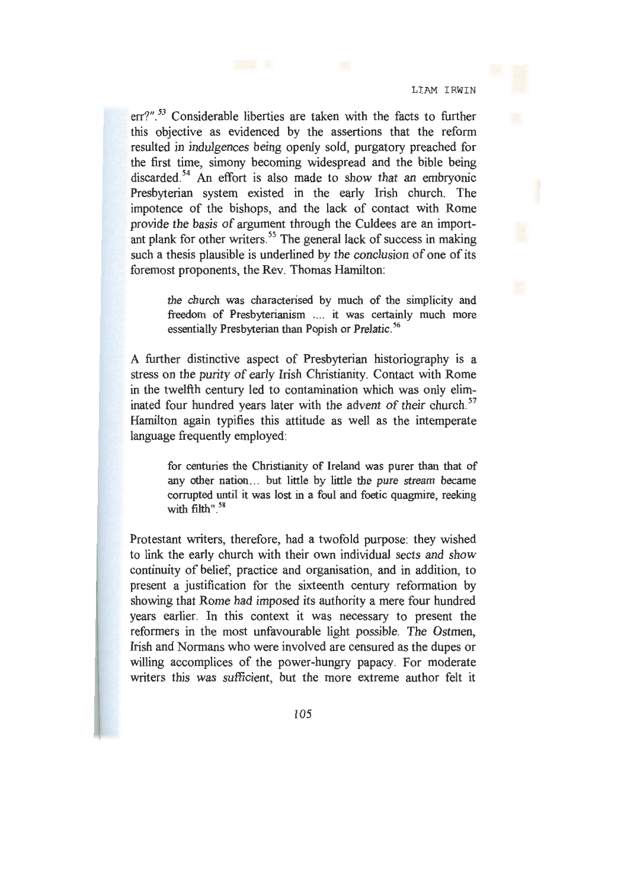err?".<sup>53</sup> Considerable liberties are taken with the facts to further this objective as evidenced by the assertions that the reform resulted in indulgences being openly sold, purgatory preached for the first time, simony becoming widespread and the bible being discarded.<sup>54</sup> An effort is also made to show that an embryonic Presbyterian system existed in the early Irish church. The impotence of the bishops, and the lack of contact with Rome provide the basis of argument through the Culdees are an important plank for other writers.<sup>55</sup> The general lack of success in making such a thesis plausible is underlined by the conclusion of one of its foremost proponents, the Rev. Thomas Hamilton:

> the church was characterised by much of the simplicity and freedom of Presbyterianism .... it was certainly much more essentially Presbyterian than Popish or Prelatic.<sup>56</sup>

A further distinctive aspect of Presbyterian historiography is a stress on the purity of early Irish Christianity. Contact with Rome in the twelfth century led to contamination which was only eliminated four hundred years later with the advent of their church.<sup>57</sup> Hamilton again typifies this attitude as well as the intemperate language frequently employed:

> for centuries the Christianity of Ireland was purer than that of any other nation... but little by little the pure stream became corrupted until it was lost in a foul and foetic quagmire, reeking with filth".<sup>58</sup>

Protestant writers, therefore, had a twofold purpose: they wished to link the early church with their own individual sects and show continuity of belief, practice and organisation, and in addition, to present a justification for the sixteenth century reformation by showing that Rome had imposed its authority a mere four hundred years earlier. In this context it was necessary to present the reformers in the most unfavourable light possible. The Ostmen, Irish and Normans. who were involved are censured as the dupes or willing accomplices of the power-hungry papacy. For moderate writers this was sufficient, but the more extreme author felt it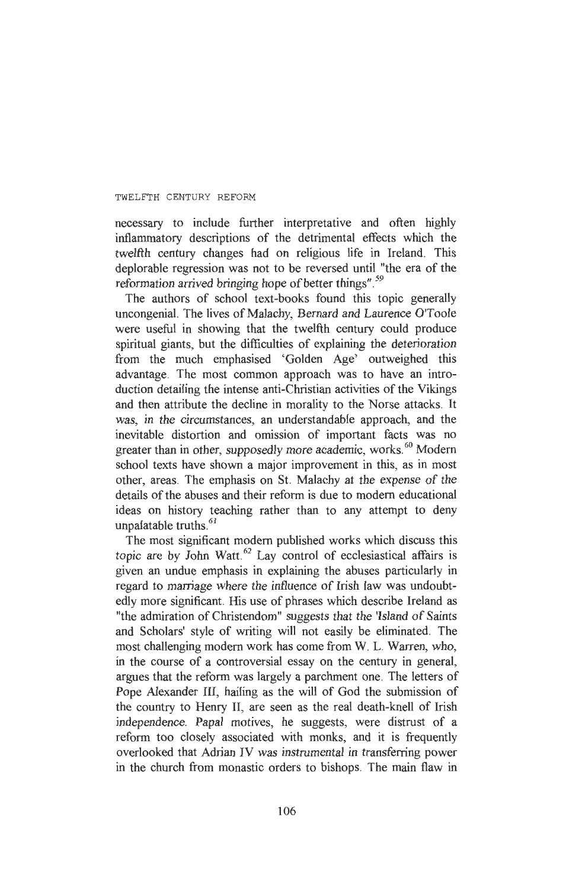necessary to include further interpretative and often highly inflammatory descriptions of the detrimental effects which the twelfth century changes had on religious life in Ireland. This deplorable regression was not to be reversed until "the era of the reformation arrived bringing hope of better things".<sup>59</sup>

The authors of school text-books found this topic generally uncongenial. The lives of Malachy, Bernard and Laurence O'Toole were useful in showing that the twelfth century could produce spiritual giants, but the difficulties of explaining the deterioration from the much emphasised 'Golden Age' outweighed this advantage. The most common approach was to have an introduction detailing the intense anti-Christian activities of the Vikings and then attribute the decline in morality to the Norse attacks. It was, in the circumstances, an understandable approach, and the inevitable distortion and omission of important facts was no greater than in other, supposedly more academic, works.<sup>60</sup> Modern school texts have shown a major improvement in this, as in most other, areas. The emphasis on St. Malachy at the expense of the details of the abuses and their reform is due to modern educational ideas on history teaching rather than to any attempt to deny unpalatable truths. 61

The most significant modern published works which discuss this topic are by John Watt. 62 Lay control of ecclesiastical affairs is given an undue emphasis in explaining the abuses particularly in regard to marriage where the influence of Irish law was undoubtedly more significant. His use of phrases which describe Ireland as "the admiration of Christendom" suggests that the 'Island of Saints and Scholars' style of writing will not easily be eliminated. The most challenging modern work has come from W. L. Warren, who, in the course of a controversial essay on the century in general, argues that the reform was largely a parchment one. The letters of Pope Alexander III, hailing as the will of God the submission of the country to Henry II, are seen as the real death-knell of Irish independence. Papal motives, he suggests, were distrust of a reform too closely associated with monks, and it is frequently overlooked that Adrian IV was instrumental in transferring power in the church from monastic orders to bishops. The main flaw in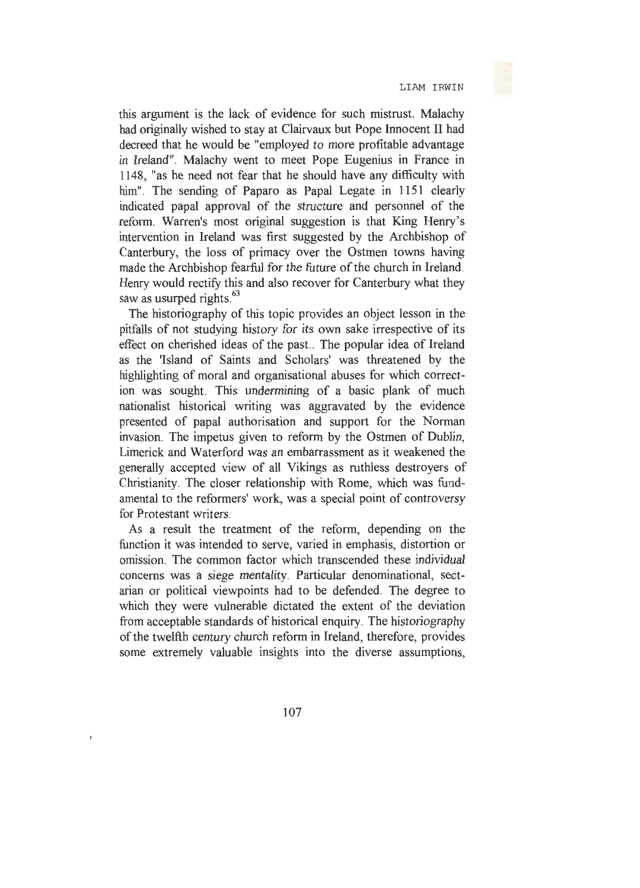this argument is the lack of evidence for such mistrust. Malachy had originally wished to stay at Clairvaux but Pope Innocent II had decreed that he would be "employed to more profitable advantage in Ireland". Malachy went to meet Pope Eugenius in France in 1148, "as he need not fear that he should have any difficulty with him". The sending of Paparo as Papal Legate in 1151 clearly indicated papal approval of the structure and personnel of the reform. Warren's most original suggestion is that King Henry's intervention in Ireland was first suggested by the Archbishop of Canterbury, the loss of primacy over the Ostmen towns having made the Archbishop fearful for the future of the church in Ireland. Henry would rectify this and also recover for Canterbury what they saw as usurped rights.<sup>63</sup>

The historiography of this topic provides an object lesson in the pitfalls of not studying history for its own sake irrespective of its effect on cherished ideas of the past. . The popular idea of Ireland as the 'Island of Saints and Scholars' was threatened by the highlighting of moral and organisational abuses for which correction was sought. This undermining of a basic plank of much nationalist historical writing was aggravated by the evidence presented of papal authorisation and support for the Norman invasion. The impetus given to reform by the Ostmen of Dublin, Limerick and Waterford was an embarrassment as it weakened the generally accepted view of all Vikings as ruthless destroyers of Christianity. The closer relationship with Rome, which was fundamental to the reformers' work, was a special point of controversy for Protestant writers.

As a result the treatment of the reform, depending on the function it was intended to serve, varied in emphasis, distortion or omission. The common factor which transcended these individual concerns was a siege mentality. Particular denominational, sectarian or political viewpoints had to be defended. The degree to which they were vulnerable dictated the extent of the deviation from acceptable standards of historical enquiry. The historiography of the twelfth century church reform in Ireland, therefore, provides some extremely valuable insights into the diverse assumptions,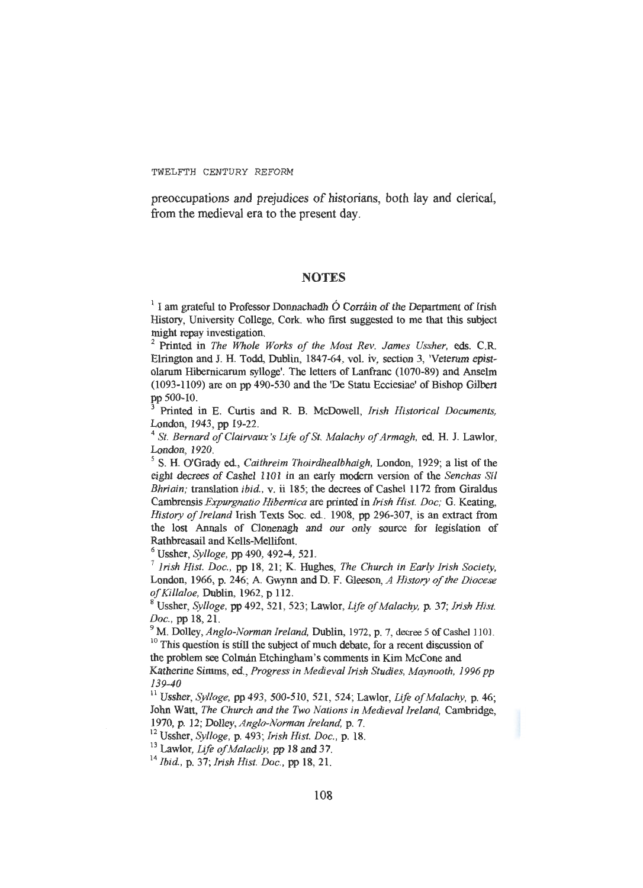preoccupations and prejudices of historians, both lay and clerical, from the medieval era to the present day.

## **NOTES**

 $<sup>1</sup>$  I am grateful to Professor Donnachadh Ó Corráin of the Department of Irish</sup> History, University College, Cork. who first suggested to me that this subject

<sup>2</sup> Printed in *The Whole Works of the Most Rev. James Ussher*, eds. C.R. Elrington and J. H. Todd, Dublin, 1847-64, vol. iv, section 3, 'Veterum epistolarum Hibernicarum sylloge'. The letters of Lanfranc (1070-89) and Anselm (1093-1109) are on pp 490-530 and the 'De Statu Ecciesiae' of Bishop Gilbert pp 500-10.

Printed in E. Curtis and R. B. McDowell, *Irish Historical Documents*, London, 1943, pp 19-22.

<sup>4</sup>*St. Bernard of Clairvaux 's Life of St. Malachy of Armagh,* ed. H. J. Lawlor, London, 1920.

*<sup>5</sup>*S. H. O'Grady ed., *Caithreim Thoirdhealbhaigh,* London, 1929; a list of the eight decrees of Cashel 1101 in an early modern version of the *Senchas Sil Bhriain;* translation *ibid.,* v. ii 185; the decrees of Cashel 1172 from Giraldus Cambrensis *Expurgnatio Hibernica* are printed in *Irish Hist. Doc;* G. Keating, *History of Ireland* Irish Texts Soc. ed.. 1908, pp 296-307, is an extract from the lost Annals of Clonenagh and our only source for legislation of

Rathbreasail and Kells-Mellifont. 6 Ussher, *Sylloge,* pp 490, 492-4, 521. 7 *Irish Hist. Doc.,* pp 18, 21; K. Hughes, *The Church in Early Irish Society,*  London, 1966, p. 246; A. Gwynn and D. F. Gleeson, *A History of the Diocese of Killaloe*. Dublin. 1962. p 112.

*Ussher, Sylloge, pp 492, 521, 523; Lawlor, Life of Malachy, p. 37; Irish Hist.* 

*Doc.*, pp 18, 21.<br><sup>9</sup> M. Dolley, *Anglo-Norman Ireland*, Dublin, 1972, p. 7, decree 5 of Cashel 1101.<br><sup>10</sup> This question is still the subject of much debate, for a recent discussion of

the problem see Colmán Etchingham's comments in Kim McCone and Katherine Simms, ed., *Progress in Medieval Irish Studies, Maynooth, 1996 pp* 

*139-40* 

11 Ussher, *Sylloge,* pp 493, 500-510, 521, 524; Lawlor, *Life ofMalachy,* p. 46; John Watt, *The Church and the Two Nations in Medieval Ireland,* Cambridge, 1970, p. 12; Dolley, Anglo-Norman Ireland, p. 7.<br><sup>12</sup> Ussher, Sylloge, p. 493; Irish Hist. Doc., p. 18.<br><sup>13</sup> Lawlor, *Life of Malacliy*, pp 18 and 37.<br><sup>14</sup> Ibid., p. 37; Irish Hist. Doc., pp 18, 21.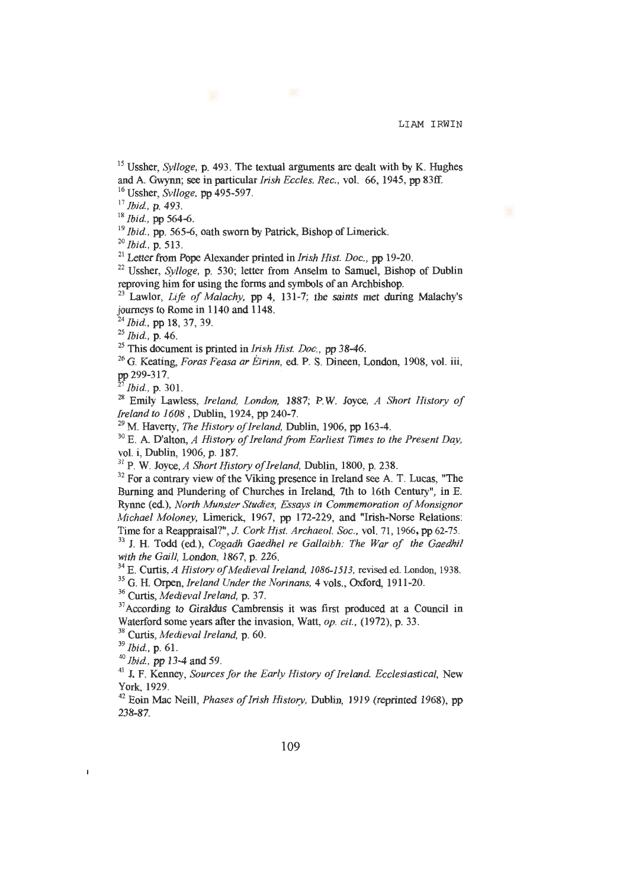<sup>15</sup> Ussher, *Sylloge*, **p.** 493. The textual arguments are dealt with by K. Hughes and A. Gwynn; see in particular *Irish Eccles. Rec.*, vol.  $66$ , 1945, pp 83ff.

<sup>16</sup> Ussher, *Svlloge*, pp 495-597.<br>
<sup>17</sup> Ibid., p. 493.<br>
<sup>18</sup> Ibid., pp 564-6.<br>
<sup>19</sup> Ibid., pp 565-6, oath sworn by Patrick, Bishop of Limerick.<br>
<sup>20</sup> Ibid., p. 513.<br>
<sup>21</sup> Letter from Pope Alexander printed in *Irish His* 

 $23$  Lawlor, *Life of Malachy*, pp 4, 131-7; the saints met during Malachy's journeys to Rome in 1140 and 1148. 24 *Ibid.,* pp 18, 37, 39.

<sup>25</sup> This document is printed in *Irish Hist. Doc.*, pp 38-46.<br><sup>26</sup> G. Keating, *Foras Feasa ar Éirinn*, ed. P. S. Dineen, London, 1908, vol. iii, pp 299-317. 27 *Ibid.,* p. 301.

<sup>28</sup> Emily Lawless, *Ireland, London, 1887*; P.W. Joyce, *A Short History of Ireland to 1608*, Dublin, 1924, pp 240-7.

<sup>29</sup> M. Haverty, *The History of Ireland*, Dublin, 1906, pp 163-4.<br><sup>30</sup> E. A. D'alton, *A History of Ireland from Earliest Times to the Present Day*, vol. *i*, Dublin, 1906, p. 187.

<sup>31</sup> P. W. Joyce, *A Short History of Ireland*, Dublin, 1800, p. 238.

 $32$  For a contrary view of the Viking presence in Ireland see A. T. Lucas, "The Burning and Plundering of Churches in Ireland, 7th to 16th Century", in E. Rynne (ed.), *North Munster Studies, Essays in Commemoration of Monsignor Michael Moloney, Limerick, 1967, pp 172-229, and "Irish-Norse Relations: Time for a Reappraisal?", J. Cork Hist. Archaeol. Soc., vol. 71, 1966, pp 62-75.* 

<sup>33</sup> J. H. Todd (ed.), *Cogadh Gaedhel re Gallaibh: The War of the Gaedhil* with the Gaill, London, 1867, p. 226.

<sup>34</sup> E. Curtis, *A History of Medieval Ireland, 1086-1513*, revised ed. London, 1938.<br><sup>35</sup> G. H. Orpen, *Ireland Under the Norinans*, 4 vols., Oxford, 1911-20.<br><sup>36</sup> Curtis, *Medieval Ireland*, p. 37.<br><sup>37</sup> According to Gir

Waterford some years after the invasion, Watt, *op. cit.*, (1972), p. 33.<br><sup>38</sup> Curtis, *Medieval Ireland*, p. 60.<br><sup>39</sup> *Ibid.*, p. 61.<br><sup>40</sup> *Ibid.*, pp 13-4 and 59.

 $\overline{1}$ 

<sup>41</sup> J. F. Kenney, *Sources for the Early History of Ireland. Ecclesiastical, New* York, 1929.<br><sup>42</sup> Eoin Mac Neill, *Phases of Irish History*, Dublin, 1919 (reprinted 1968), pp

238-87.